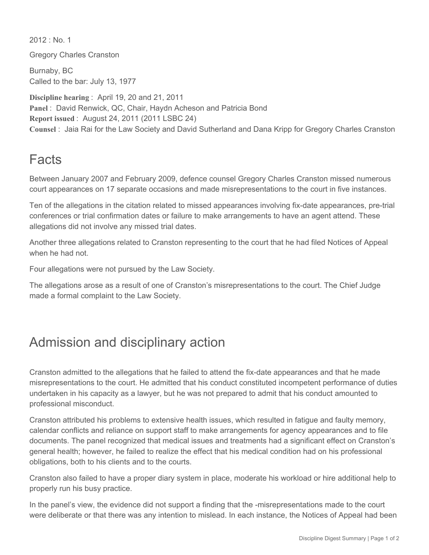$2012 \cdot$  No. 1

Gregory Charles Cranston

Burnaby, BC Called to the bar: July 13, 1977

**Discipline hearing** : April 19, 20 and 21, 2011 Panel: David Renwick, QC, Chair, Haydn Acheson and Patricia Bond **Report issued** : August 24, 2011 (2011 LSBC 24) **Counsel** : Jaia Rai for the Law Society and David Sutherland and Dana Kripp for Gregory Charles Cranston

## Facts

Between January 2007 and February 2009, defence counsel Gregory Charles Cranston missed numerous court appearances on 17 separate occasions and made misrepresentations to the court in five instances.

Ten of the allegations in the citation related to missed appearances involving fix-date appearances, pre-trial conferences or trial confirmation dates or failure to make arrangements to have an agent attend. These allegations did not involve any missed trial dates.

Another three allegations related to Cranston representing to the court that he had filed Notices of Appeal when he had not.

Four allegations were not pursued by the Law Society.

The allegations arose as a result of one of Cranston's misrepresentations to the court. The Chief Judge made a formal complaint to the Law Society.

## Admission and disciplinary action

Cranston admitted to the allegations that he failed to attend the fix-date appearances and that he made misrepresentations to the court. He admitted that his conduct constituted incompetent performance of duties undertaken in his capacity as a lawyer, but he was not prepared to admit that his conduct amounted to professional misconduct.

Cranston attributed his problems to extensive health issues, which resulted in fatigue and faulty memory, calendar conflicts and reliance on support staff to make arrangements for agency appearances and to file documents. The panel recognized that medical issues and treatments had a significant effect on Cranston's general health; however, he failed to realize the effect that his medical condition had on his professional obligations, both to his clients and to the courts.

Cranston also failed to have a proper diary system in place, moderate his workload or hire additional help to properly run his busy practice.

In the panel's view, the evidence did not support a finding that the -misrepresentations made to the court were deliberate or that there was any intention to mislead. In each instance, the Notices of Appeal had been